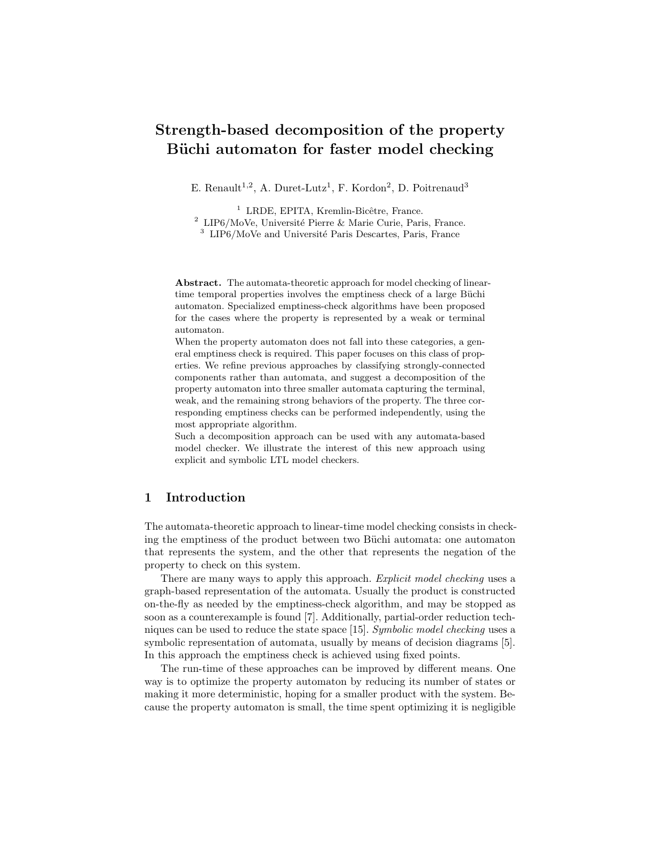# Strength-based decomposition of the property Büchi automaton for faster model checking

E. Renault<sup>1,2</sup>, A. Duret-Lutz<sup>1</sup>, F. Kordon<sup>2</sup>, D. Poitrenaud<sup>3</sup>

 $<sup>1</sup>$  LRDE, EPITA, Kremlin-Bicêtre, France.</sup>  $2$  LIP6/MoVe, Université Pierre & Marie Curie, Paris, France.  $3$  LIP6/MoVe and Université Paris Descartes, Paris, France

Abstract. The automata-theoretic approach for model checking of lineartime temporal properties involves the emptiness check of a large Büchi automaton. Specialized emptiness-check algorithms have been proposed for the cases where the property is represented by a weak or terminal automaton.

When the property automaton does not fall into these categories, a general emptiness check is required. This paper focuses on this class of properties. We refine previous approaches by classifying strongly-connected components rather than automata, and suggest a decomposition of the property automaton into three smaller automata capturing the terminal, weak, and the remaining strong behaviors of the property. The three corresponding emptiness checks can be performed independently, using the most appropriate algorithm.

Such a decomposition approach can be used with any automata-based model checker. We illustrate the interest of this new approach using explicit and symbolic LTL model checkers.

## 1 Introduction

The automata-theoretic approach to linear-time model checking consists in checking the emptiness of the product between two Büchi automata: one automaton that represents the system, and the other that represents the negation of the property to check on this system.

There are many ways to apply this approach. Explicit model checking uses a graph-based representation of the automata. Usually the product is constructed on-the-fly as needed by the emptiness-check algorithm, and may be stopped as soon as a counterexample is found [7]. Additionally, partial-order reduction techniques can be used to reduce the state space [15]. Symbolic model checking uses a symbolic representation of automata, usually by means of decision diagrams [5]. In this approach the emptiness check is achieved using fixed points.

The run-time of these approaches can be improved by different means. One way is to optimize the property automaton by reducing its number of states or making it more deterministic, hoping for a smaller product with the system. Because the property automaton is small, the time spent optimizing it is negligible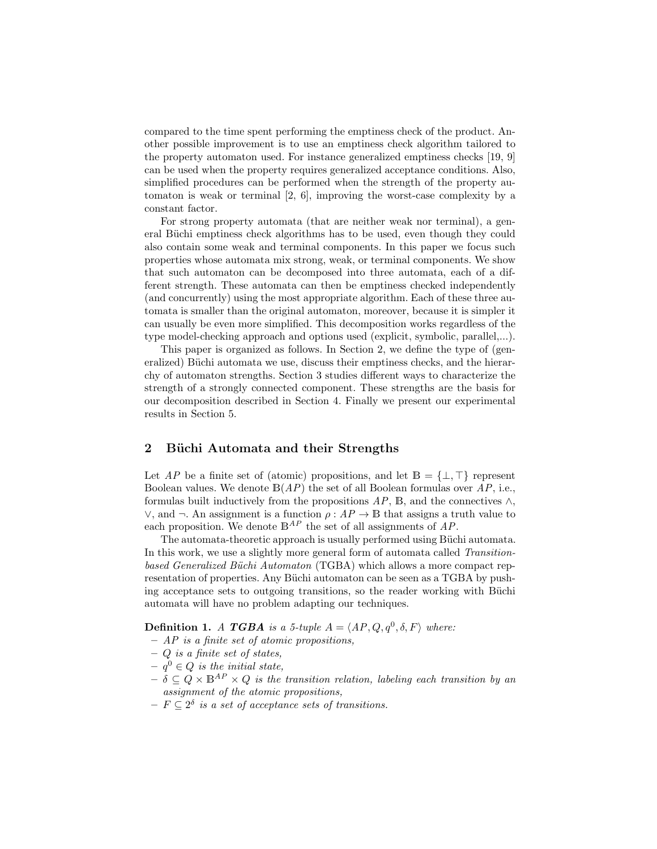compared to the time spent performing the emptiness check of the product. Another possible improvement is to use an emptiness check algorithm tailored to the property automaton used. For instance generalized emptiness checks [19, 9] can be used when the property requires generalized acceptance conditions. Also, simplified procedures can be performed when the strength of the property automaton is weak or terminal [2, 6], improving the worst-case complexity by a constant factor.

For strong property automata (that are neither weak nor terminal), a general Büchi emptiness check algorithms has to be used, even though they could also contain some weak and terminal components. In this paper we focus such properties whose automata mix strong, weak, or terminal components. We show that such automaton can be decomposed into three automata, each of a different strength. These automata can then be emptiness checked independently (and concurrently) using the most appropriate algorithm. Each of these three automata is smaller than the original automaton, moreover, because it is simpler it can usually be even more simplified. This decomposition works regardless of the type model-checking approach and options used (explicit, symbolic, parallel,...).

This paper is organized as follows. In Section 2, we define the type of (generalized) Büchi automata we use, discuss their emptiness checks, and the hierarchy of automaton strengths. Section 3 studies different ways to characterize the strength of a strongly connected component. These strengths are the basis for our decomposition described in Section 4. Finally we present our experimental results in Section 5.

# 2 Büchi Automata and their Strengths

Let AP be a finite set of (atomic) propositions, and let  $B = \{\perp, \top\}$  represent Boolean values. We denote  $B(AP)$  the set of all Boolean formulas over  $AP$ , i.e., formulas built inductively from the propositions  $AP$ , B, and the connectives  $\wedge$ ,  $\lor$ , and  $\neg$ . An assignment is a function  $ρ: AP → B$  that assigns a truth value to each proposition. We denote  $\mathbb{B}^{AP}$  the set of all assignments of AP.

The automata-theoretic approach is usually performed using Büchi automata. In this work, we use a slightly more general form of automata called Transitionbased Generalized Büchi Automaton (TGBA) which allows a more compact representation of properties. Any Büchi automaton can be seen as a TGBA by pushing acceptance sets to outgoing transitions, so the reader working with Büchi automata will have no problem adapting our techniques.

**Definition 1.** A TGBA is a 5-tuple  $A = \langle AP, Q, q^0, \delta, F \rangle$  where:

- AP is a finite set of atomic propositions,
- $-$  Q is a finite set of states,
- $q^0 \in Q$  is the initial state,
- $-\delta \subseteq Q \times \mathbb{B}^{AP} \times Q$  is the transition relation, labeling each transition by an assignment of the atomic propositions,
- $F \subseteq 2^{\delta}$  is a set of acceptance sets of transitions.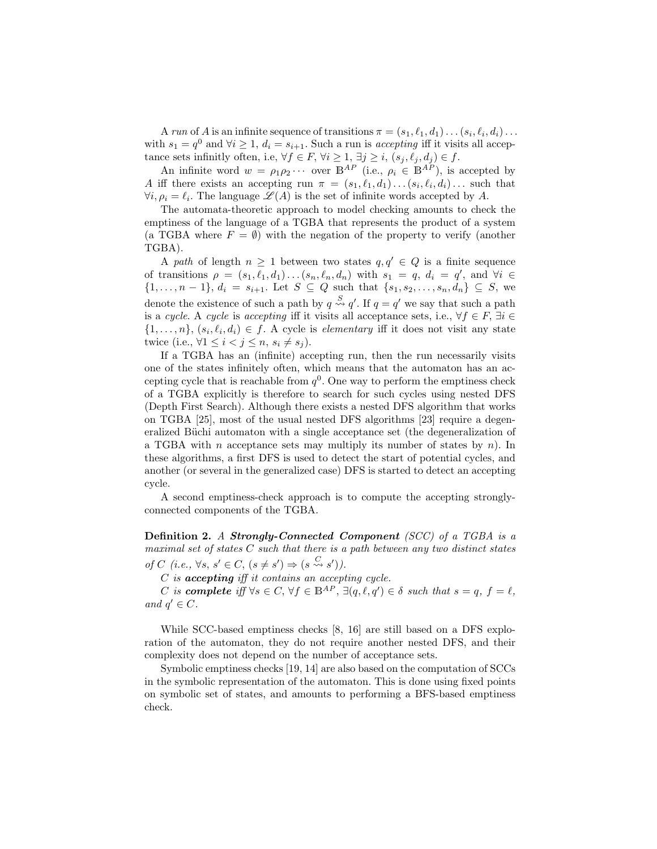A run of A is an infinite sequence of transitions  $\pi = (s_1, \ell_1, d_1) \dots (s_i, \ell_i, d_i) \dots$ with  $s_1 = q^0$  and  $\forall i \geq 1$ ,  $d_i = s_{i+1}$ . Such a run is *accepting* iff it visits all acceptance sets infinitly often, i.e,  $\forall f \in F, \forall i \geq 1, \exists j \geq i, (s_j, \ell_j, d_j) \in f$ .

An infinite word  $w = \rho_1 \rho_2 \cdots$  over  $\overline{B^{AP}}$  (i.e.,  $\rho_i \in B^{AP}$ ), is accepted by A iff there exists an accepting run  $\pi = (s_1, \ell_1, d_1) \dots (s_i, \ell_i, d_i) \dots$  such that  $\forall i, \rho_i = \ell_i$ . The language  $\mathscr{L}(A)$  is the set of infinite words accepted by A.

The automata-theoretic approach to model checking amounts to check the emptiness of the language of a TGBA that represents the product of a system (a TGBA where  $F = \emptyset$ ) with the negation of the property to verify (another TGBA).

A path of length  $n \geq 1$  between two states  $q, q' \in Q$  is a finite sequence of transitions  $\rho = (s_1, \ell_1, d_1) \dots (s_n, \ell_n, d_n)$  with  $s_1 = q, d_i = q'$ , and  $\forall i \in$  $\{1, \ldots, n-1\}, d_i = s_{i+1}$ . Let  $S \subseteq Q$  such that  $\{s_1, s_2, \ldots, s_n, d_n\} \subseteq S$ , we denote the existence of such a path by  $q \stackrel{S}{\leadsto} q'$ . If  $q = q'$  we say that such a path is a cycle. A cycle is accepting iff it visits all acceptance sets, i.e.,  $\forall f \in F$ ,  $\exists i \in$  $\{1,\ldots,n\},\,(s_i,\ell_i,d_i)\in f.$  A cycle is *elementary* iff it does not visit any state twice (i.e.,  $\forall 1 \leq i < j \leq n$ ,  $s_i \neq s_j$ ).

If a TGBA has an (infinite) accepting run, then the run necessarily visits one of the states infinitely often, which means that the automaton has an accepting cycle that is reachable from  $q^0$ . One way to perform the emptiness check of a TGBA explicitly is therefore to search for such cycles using nested DFS (Depth First Search). Although there exists a nested DFS algorithm that works on TGBA [25], most of the usual nested DFS algorithms [23] require a degeneralized Büchi automaton with a single acceptance set (the degeneralization of a TGBA with *n* acceptance sets may multiply its number of states by *n*). In these algorithms, a first DFS is used to detect the start of potential cycles, and another (or several in the generalized case) DFS is started to detect an accepting cycle.

A second emptiness-check approach is to compute the accepting stronglyconnected components of the TGBA.

Definition 2. A Strongly-Connected Component (SCC) of a TGBA is a maximal set of states  $C$  such that there is a path between any two distinct states of C (i.e.,  $\forall s, s' \in C, (s \neq s') \Rightarrow (s \stackrel{C}{\leadsto} s')$ ).

C is accepting iff it contains an accepting cycle.

C is **complete** if  $\forall s \in C, \forall f \in \mathbb{B}^{AP}, \exists (q, \ell, q') \in \delta$  such that  $s = q, f = \ell$ , and  $q' \in C$ .

While SCC-based emptiness checks [8, 16] are still based on a DFS exploration of the automaton, they do not require another nested DFS, and their complexity does not depend on the number of acceptance sets.

Symbolic emptiness checks [19, 14] are also based on the computation of SCCs in the symbolic representation of the automaton. This is done using fixed points on symbolic set of states, and amounts to performing a BFS-based emptiness check.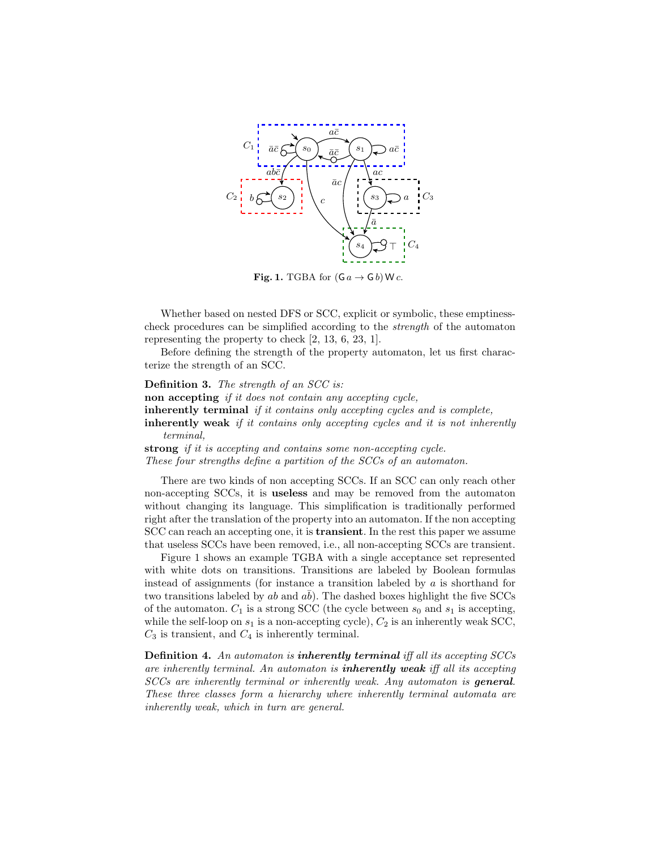

Fig. 1. TGBA for  $(G a \rightarrow G b)$  W c.

Whether based on nested DFS or SCC, explicit or symbolic, these emptinesscheck procedures can be simplified according to the strength of the automaton representing the property to check [2, 13, 6, 23, 1].

Before defining the strength of the property automaton, let us first characterize the strength of an SCC.

Definition 3. The strength of an SCC is: non accepting *if it does not contain any accepting cycle*, inherently terminal *if it contains only accepting cycles and is complete*, inherently weak if it contains only accepting cycles and it is not inherently terminal, strong if it is accepting and contains some non-accepting cycle.

These four strengths define a partition of the SCCs of an automaton.

There are two kinds of non accepting SCCs. If an SCC can only reach other non-accepting SCCs, it is useless and may be removed from the automaton without changing its language. This simplification is traditionally performed right after the translation of the property into an automaton. If the non accepting SCC can reach an accepting one, it is transient. In the rest this paper we assume that useless SCCs have been removed, i.e., all non-accepting SCCs are transient.

Figure 1 shows an example TGBA with a single acceptance set represented with white dots on transitions. Transitions are labeled by Boolean formulas instead of assignments (for instance a transition labeled by  $a$  is shorthand for two transitions labeled by  $ab$  and  $ab$ ). The dashed boxes highlight the five SCCs of the automaton.  $C_1$  is a strong SCC (the cycle between  $s_0$  and  $s_1$  is accepting, while the self-loop on  $s_1$  is a non-accepting cycle),  $C_2$  is an inherently weak SCC,  $C_3$  is transient, and  $C_4$  is inherently terminal.

Definition 4. An automaton is inherently terminal iff all its accepting SCCs are inherently terminal. An automaton is **inherently weak** iff all its accepting SCCs are inherently terminal or inherently weak. Any automaton is general. These three classes form a hierarchy where inherently terminal automata are inherently weak, which in turn are general.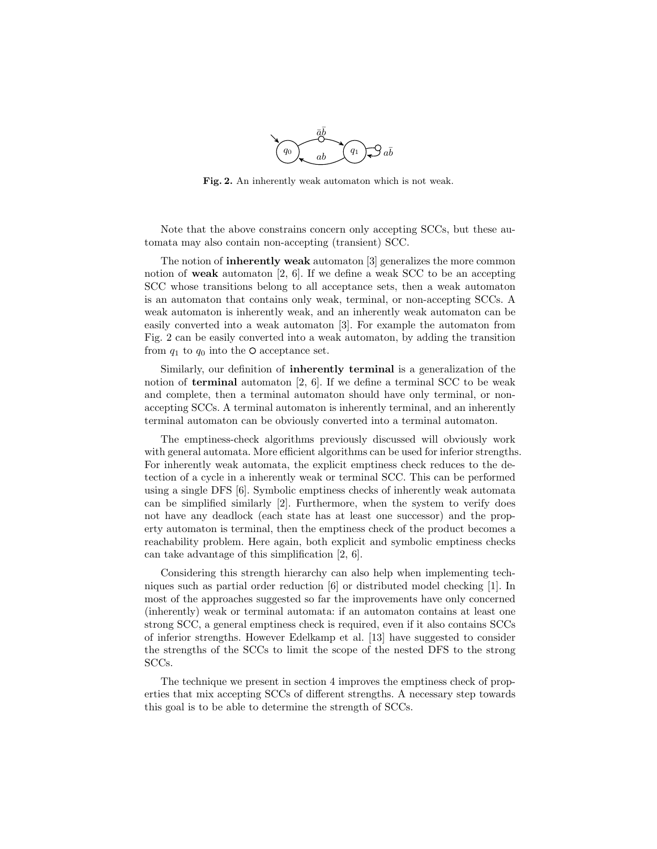

Fig. 2. An inherently weak automaton which is not weak.

Note that the above constrains concern only accepting SCCs, but these automata may also contain non-accepting (transient) SCC.

The notion of inherently weak automaton [3] generalizes the more common notion of **weak** automaton  $[2, 6]$ . If we define a weak SCC to be an accepting SCC whose transitions belong to all acceptance sets, then a weak automaton is an automaton that contains only weak, terminal, or non-accepting SCCs. A weak automaton is inherently weak, and an inherently weak automaton can be easily converted into a weak automaton [3]. For example the automaton from Fig. 2 can be easily converted into a weak automaton, by adding the transition from  $q_1$  to  $q_0$  into the O acceptance set.

Similarly, our definition of inherently terminal is a generalization of the notion of **terminal** automaton [2, 6]. If we define a terminal SCC to be weak and complete, then a terminal automaton should have only terminal, or nonaccepting SCCs. A terminal automaton is inherently terminal, and an inherently terminal automaton can be obviously converted into a terminal automaton.

The emptiness-check algorithms previously discussed will obviously work with general automata. More efficient algorithms can be used for inferior strengths. For inherently weak automata, the explicit emptiness check reduces to the detection of a cycle in a inherently weak or terminal SCC. This can be performed using a single DFS [6]. Symbolic emptiness checks of inherently weak automata can be simplified similarly [2]. Furthermore, when the system to verify does not have any deadlock (each state has at least one successor) and the property automaton is terminal, then the emptiness check of the product becomes a reachability problem. Here again, both explicit and symbolic emptiness checks can take advantage of this simplification [2, 6].

Considering this strength hierarchy can also help when implementing techniques such as partial order reduction [6] or distributed model checking [1]. In most of the approaches suggested so far the improvements have only concerned (inherently) weak or terminal automata: if an automaton contains at least one strong SCC, a general emptiness check is required, even if it also contains SCCs of inferior strengths. However Edelkamp et al. [13] have suggested to consider the strengths of the SCCs to limit the scope of the nested DFS to the strong SCCs.

The technique we present in section 4 improves the emptiness check of properties that mix accepting SCCs of different strengths. A necessary step towards this goal is to be able to determine the strength of SCCs.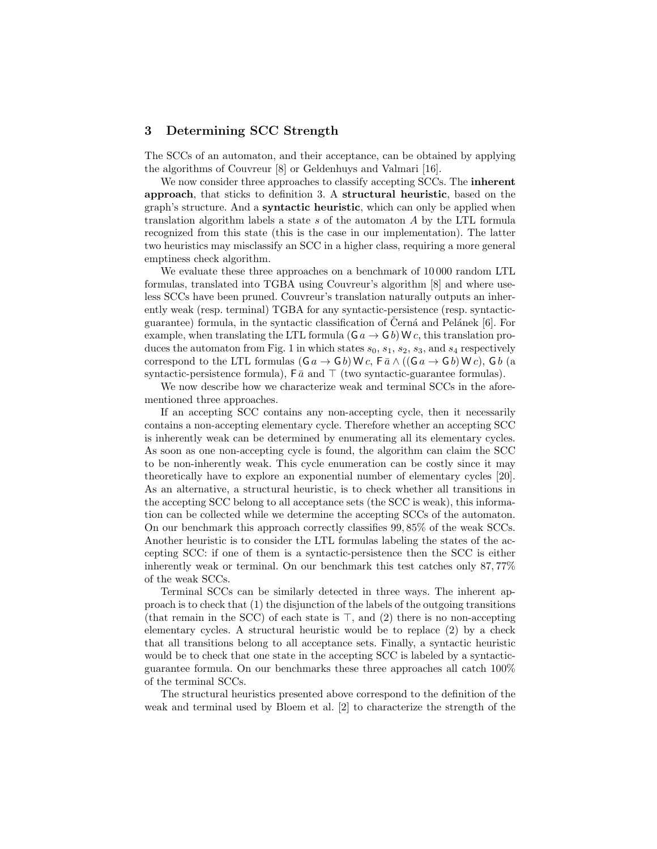## 3 Determining SCC Strength

The SCCs of an automaton, and their acceptance, can be obtained by applying the algorithms of Couvreur [8] or Geldenhuys and Valmari [16].

We now consider three approaches to classify accepting SCCs. The **inherent** approach, that sticks to definition 3. A structural heuristic, based on the graph's structure. And a syntactic heuristic, which can only be applied when translation algorithm labels a state s of the automaton A by the LTL formula recognized from this state (this is the case in our implementation). The latter two heuristics may misclassify an SCC in a higher class, requiring a more general emptiness check algorithm.

We evaluate these three approaches on a benchmark of 10 000 random LTL formulas, translated into TGBA using Couvreur's algorithm [8] and where useless SCCs have been pruned. Couvreur's translation naturally outputs an inherently weak (resp. terminal) TGBA for any syntactic-persistence (resp. syntacticguarantee) formula, in the syntactic classification of Cerná and Pelánek  $[6]$ . For example, when translating the LTL formula ( $\mathsf{G} a \to \mathsf{G} b$ ) W c, this translation produces the automaton from Fig. 1 in which states  $s_0$ ,  $s_1$ ,  $s_2$ ,  $s_3$ , and  $s_4$  respectively correspond to the LTL formulas  $(G a \rightarrow G b)$  W c,  $F \bar{a} \wedge ((G a \rightarrow G b)$  W c), G b (a syntactic-persistence formula),  $\overline{F} \overline{a}$  and  $\overline{T}$  (two syntactic-guarantee formulas).

We now describe how we characterize weak and terminal SCCs in the aforementioned three approaches.

If an accepting SCC contains any non-accepting cycle, then it necessarily contains a non-accepting elementary cycle. Therefore whether an accepting SCC is inherently weak can be determined by enumerating all its elementary cycles. As soon as one non-accepting cycle is found, the algorithm can claim the SCC to be non-inherently weak. This cycle enumeration can be costly since it may theoretically have to explore an exponential number of elementary cycles [20]. As an alternative, a structural heuristic, is to check whether all transitions in the accepting SCC belong to all acceptance sets (the SCC is weak), this information can be collected while we determine the accepting SCCs of the automaton. On our benchmark this approach correctly classifies 99, 85% of the weak SCCs. Another heuristic is to consider the LTL formulas labeling the states of the accepting SCC: if one of them is a syntactic-persistence then the SCC is either inherently weak or terminal. On our benchmark this test catches only 87, 77% of the weak SCCs.

Terminal SCCs can be similarly detected in three ways. The inherent approach is to check that (1) the disjunction of the labels of the outgoing transitions (that remain in the SCC) of each state is  $\top$ , and (2) there is no non-accepting elementary cycles. A structural heuristic would be to replace (2) by a check that all transitions belong to all acceptance sets. Finally, a syntactic heuristic would be to check that one state in the accepting SCC is labeled by a syntacticguarantee formula. On our benchmarks these three approaches all catch 100% of the terminal SCCs.

The structural heuristics presented above correspond to the definition of the weak and terminal used by Bloem et al. [2] to characterize the strength of the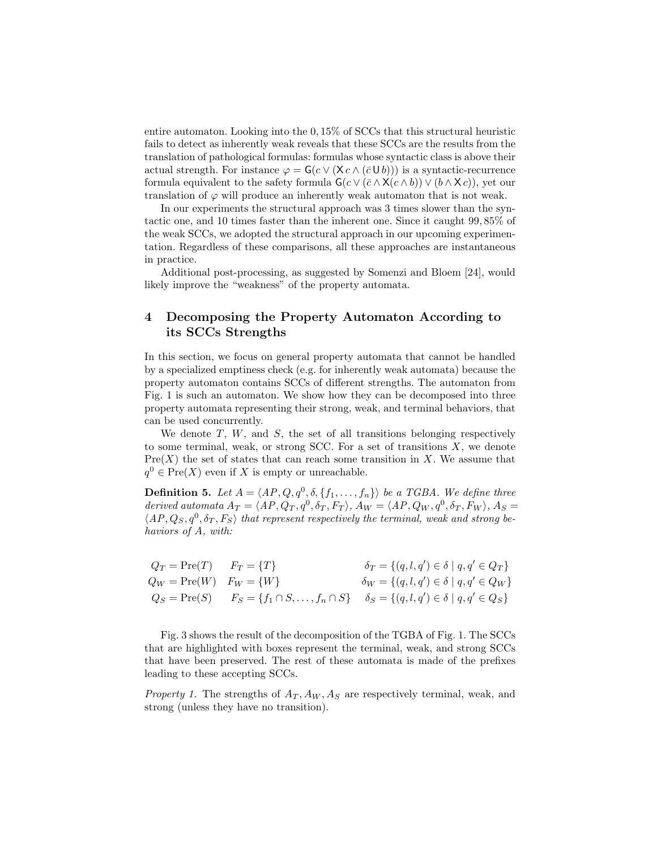entire automaton. Looking into the 0, 15% of SCCs that this structural heuristic fails to detect as inherently weak reveals that these SCCs are the results from the translation of pathological formulas: formulas whose syntactic class is above their actual strength. For instance  $\varphi = G(c \vee (Xc \wedge (\bar{c} \cup b)))$  is a syntactic-recurrence formula equivalent to the safety formula  $\mathsf{G}(c \vee (\bar{c} \wedge \mathsf{X}(c \wedge b)) \vee (b \wedge \mathsf{X} c))$ , yet our translation of  $\varphi$  will produce an inherently weak automaton that is not weak.

In our experiments the structural approach was 3 times slower than the syntactic one, and 10 times faster than the inherent one. Since it caught 99, 85% of the weak SCCs, we adopted the structural approach in our upcoming experimentation. Regardless of these comparisons, all these approaches are instantaneous in practice.

Additional post-processing, as suggested by Somenzi and Bloem [24], would likely improve the "weakness" of the property automata.

# 4 Decomposing the Property Automaton According to its SCCs Strengths

In this section, we focus on general property automata that cannot be handled by a specialized emptiness check (e.g. for inherently weak automata) because the property automaton contains SCCs of different strengths. The automaton from Fig. 1 is such an automaton. We show how they can be decomposed into three property automata representing their strong, weak, and terminal behaviors, that can be used concurrently.

We denote  $T$ ,  $W$ , and  $S$ , the set of all transitions belonging respectively to some terminal, weak, or strong SCC. For a set of transitions  $X$ , we denote  $Pre(X)$  the set of states that can reach some transition in X. We assume that  $q^0 \in Pre(X)$  even if X is empty or unreachable.

**Definition 5.** Let  $A = \langle AP, Q, q^0, \delta, \{f_1, \ldots, f_n\}\rangle$  be a TGBA. We define three derived automata  $A_T = \langle AP, Q_T, q^0, \delta_T, F_T \rangle$ ,  $A_W = \langle AP, Q_W, q^0, \delta_T, F_W \rangle$ ,  $A_S =$  $\langle AP, Q_S, q^0, \delta_T, F_S \rangle$  that represent respectively the terminal, weak and strong behaviors of A, with:

$$
Q_T = \text{Pre}(T) \qquad F_T = \{T\} \qquad \qquad \delta_T = \{(q, l, q') \in \delta \mid q, q' \in Q_T\} Q_W = \text{Pre}(W) \qquad F_W = \{W\} \qquad \qquad \delta_W = \{(q, l, q') \in \delta \mid q, q' \in Q_W\} Q_S = \text{Pre}(S) \qquad F_S = \{f_1 \cap S, \dots, f_n \cap S\} \qquad \delta_S = \{(q, l, q') \in \delta \mid q, q' \in Q_S\}
$$

Fig. 3 shows the result of the decomposition of the TGBA of Fig. 1. The SCCs that are highlighted with boxes represent the terminal, weak, and strong SCCs that have been preserved. The rest of these automata is made of the prefixes leading to these accepting SCCs.

*Property 1.* The strengths of  $A_T$ ,  $A_W$ ,  $A_S$  are respectively terminal, weak, and strong (unless they have no transition).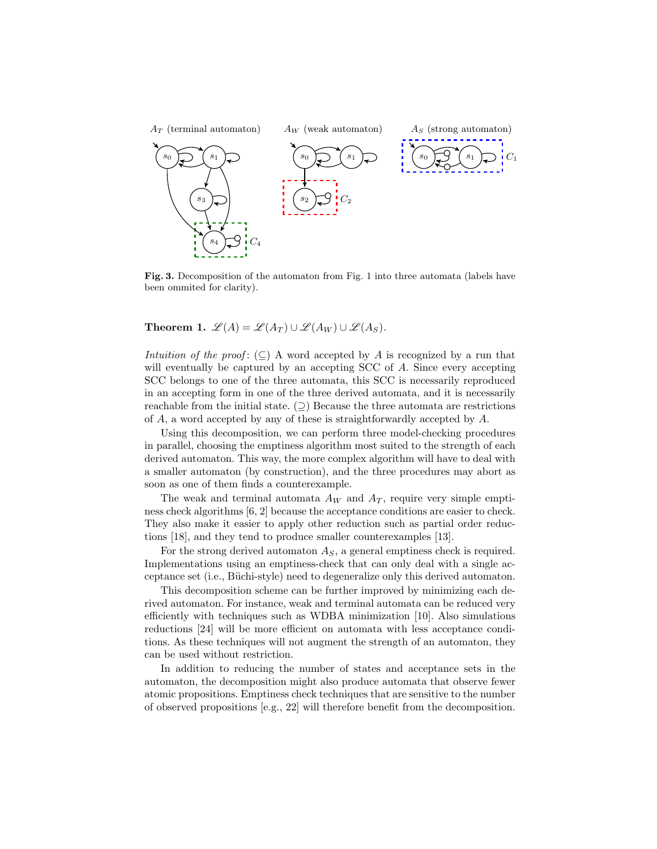

Fig. 3. Decomposition of the automaton from Fig. 1 into three automata (labels have been ommited for clarity).

**Theorem 1.**  $\mathscr{L}(A) = \mathscr{L}(A_T) \cup \mathscr{L}(A_W) \cup \mathscr{L}(A_S)$ .

Intuition of the proof: ( $\subseteq$ ) A word accepted by A is recognized by a run that will eventually be captured by an accepting SCC of A. Since every accepting SCC belongs to one of the three automata, this SCC is necessarily reproduced in an accepting form in one of the three derived automata, and it is necessarily reachable from the initial state.  $(2)$  Because the three automata are restrictions of A, a word accepted by any of these is straightforwardly accepted by A.

Using this decomposition, we can perform three model-checking procedures in parallel, choosing the emptiness algorithm most suited to the strength of each derived automaton. This way, the more complex algorithm will have to deal with a smaller automaton (by construction), and the three procedures may abort as soon as one of them finds a counterexample.

The weak and terminal automata  $A_W$  and  $A_T$ , require very simple emptiness check algorithms [6, 2] because the acceptance conditions are easier to check. They also make it easier to apply other reduction such as partial order reductions [18], and they tend to produce smaller counterexamples [13].

For the strong derived automaton  $A<sub>S</sub>$ , a general emptiness check is required. Implementations using an emptiness-check that can only deal with a single acceptance set (i.e., Büchi-style) need to degeneralize only this derived automaton.

This decomposition scheme can be further improved by minimizing each derived automaton. For instance, weak and terminal automata can be reduced very efficiently with techniques such as WDBA minimization [10]. Also simulations reductions [24] will be more efficient on automata with less acceptance conditions. As these techniques will not augment the strength of an automaton, they can be used without restriction.

In addition to reducing the number of states and acceptance sets in the automaton, the decomposition might also produce automata that observe fewer atomic propositions. Emptiness check techniques that are sensitive to the number of observed propositions [e.g., 22] will therefore benefit from the decomposition.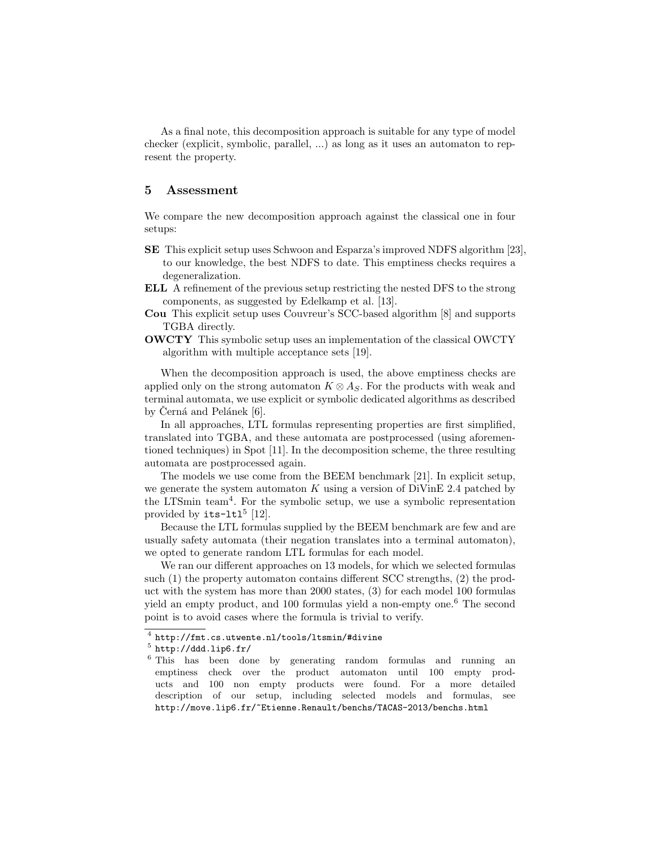As a final note, this decomposition approach is suitable for any type of model checker (explicit, symbolic, parallel, ...) as long as it uses an automaton to represent the property.

### 5 Assessment

We compare the new decomposition approach against the classical one in four setups:

- SE This explicit setup uses Schwoon and Esparza's improved NDFS algorithm [23], to our knowledge, the best NDFS to date. This emptiness checks requires a degeneralization.
- ELL A refinement of the previous setup restricting the nested DFS to the strong components, as suggested by Edelkamp et al. [13].
- Cou This explicit setup uses Couvreur's SCC-based algorithm [8] and supports TGBA directly.
- OWCTY This symbolic setup uses an implementation of the classical OWCTY algorithm with multiple acceptance sets [19].

When the decomposition approach is used, the above emptiness checks are applied only on the strong automaton  $K \otimes A_S$ . For the products with weak and terminal automata, we use explicit or symbolic dedicated algorithms as described by Černá and Pelánek  $[6]$ .

In all approaches, LTL formulas representing properties are first simplified, translated into TGBA, and these automata are postprocessed (using aforementioned techniques) in Spot [11]. In the decomposition scheme, the three resulting automata are postprocessed again.

The models we use come from the BEEM benchmark [21]. In explicit setup, we generate the system automaton  $K$  using a version of DiVinE 2.4 patched by the LTSmin team<sup>4</sup> . For the symbolic setup, we use a symbolic representation provided by  $its$ -1t1<sup>5</sup> [12].

Because the LTL formulas supplied by the BEEM benchmark are few and are usually safety automata (their negation translates into a terminal automaton), we opted to generate random LTL formulas for each model.

We ran our different approaches on 13 models, for which we selected formulas such (1) the property automaton contains different SCC strengths, (2) the product with the system has more than 2000 states, (3) for each model 100 formulas yield an empty product, and 100 formulas yield a non-empty one.<sup>6</sup> The second point is to avoid cases where the formula is trivial to verify.

<sup>4</sup> http://fmt.cs.utwente.nl/tools/ltsmin/#divine

 $^5$  http://ddd.lip6.fr/

<sup>6</sup> This has been done by generating random formulas and running an emptiness check over the product automaton until 100 empty products and 100 non empty products were found. For a more detailed description of our setup, including selected models and formulas, see http://move.lip6.fr/~Etienne.Renault/benchs/TACAS-2013/benchs.html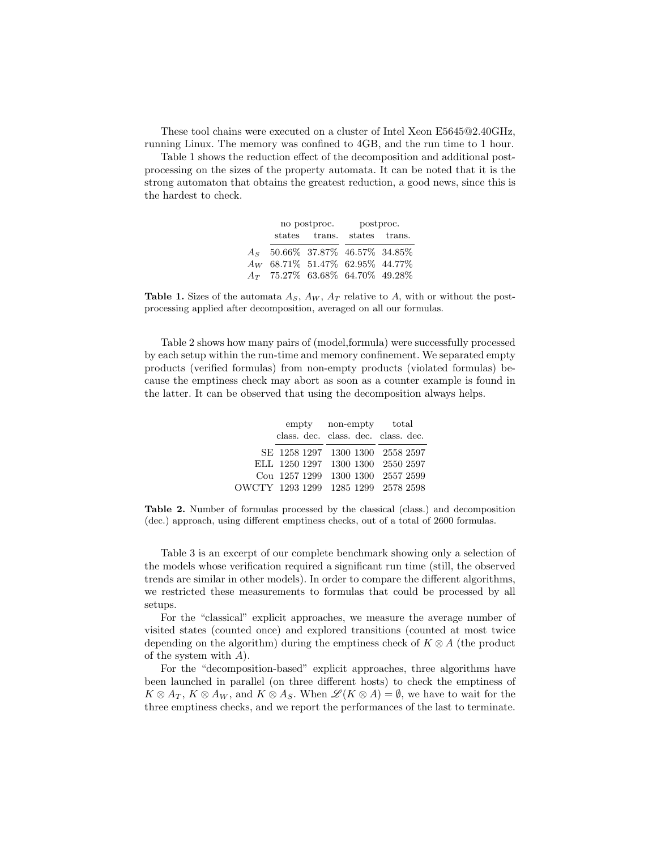These tool chains were executed on a cluster of Intel Xeon E5645@2.40GHz, running Linux. The memory was confined to 4GB, and the run time to 1 hour.

Table 1 shows the reduction effect of the decomposition and additional postprocessing on the sizes of the property automata. It can be noted that it is the strong automaton that obtains the greatest reduction, a good news, since this is the hardest to check.

|                                       | no postproc.  | postproc. |               |  |  |
|---------------------------------------|---------------|-----------|---------------|--|--|
|                                       | states trans. |           | states trans. |  |  |
| $A_S$ 50.66% 37.87% 46.57% 34.85%     |               |           |               |  |  |
| $A_W$ 68.71\% 51.47\% 62.95\% 44.77\% |               |           |               |  |  |
| $A_T$ 75.27% 63.68% 64.70% 49.28%     |               |           |               |  |  |

**Table 1.** Sizes of the automata  $A<sub>S</sub>$ ,  $A<sub>W</sub>$ ,  $A<sub>T</sub>$  relative to A, with or without the postprocessing applied after decomposition, averaged on all our formulas.

Table 2 shows how many pairs of (model,formula) were successfully processed by each setup within the run-time and memory confinement. We separated empty products (verified formulas) from non-empty products (violated formulas) because the emptiness check may abort as soon as a counter example is found in the latter. It can be observed that using the decomposition always helps.

|  | empty non-empty total               |  |  |  |
|--|-------------------------------------|--|--|--|
|  | class. dec. class. dec. class. dec. |  |  |  |
|  | SE 1258 1297 1300 1300 2558 2597    |  |  |  |
|  | ELL 1250 1297 1300 1300 2550 2597   |  |  |  |
|  | Cou 1257 1299 1300 1300 2557 2599   |  |  |  |
|  | OWCTY 1293 1299 1285 1299 2578 2598 |  |  |  |

Table 2. Number of formulas processed by the classical (class.) and decomposition (dec.) approach, using different emptiness checks, out of a total of 2600 formulas.

Table 3 is an excerpt of our complete benchmark showing only a selection of the models whose verification required a significant run time (still, the observed trends are similar in other models). In order to compare the different algorithms, we restricted these measurements to formulas that could be processed by all setups.

For the "classical" explicit approaches, we measure the average number of visited states (counted once) and explored transitions (counted at most twice depending on the algorithm) during the emptiness check of  $K \otimes A$  (the product of the system with A).

For the "decomposition-based" explicit approaches, three algorithms have been launched in parallel (on three different hosts) to check the emptiness of  $K \otimes A_T$ ,  $K \otimes A_W$ , and  $K \otimes A_S$ . When  $\mathscr{L}(K \otimes A) = \emptyset$ , we have to wait for the three emptiness checks, and we report the performances of the last to terminate.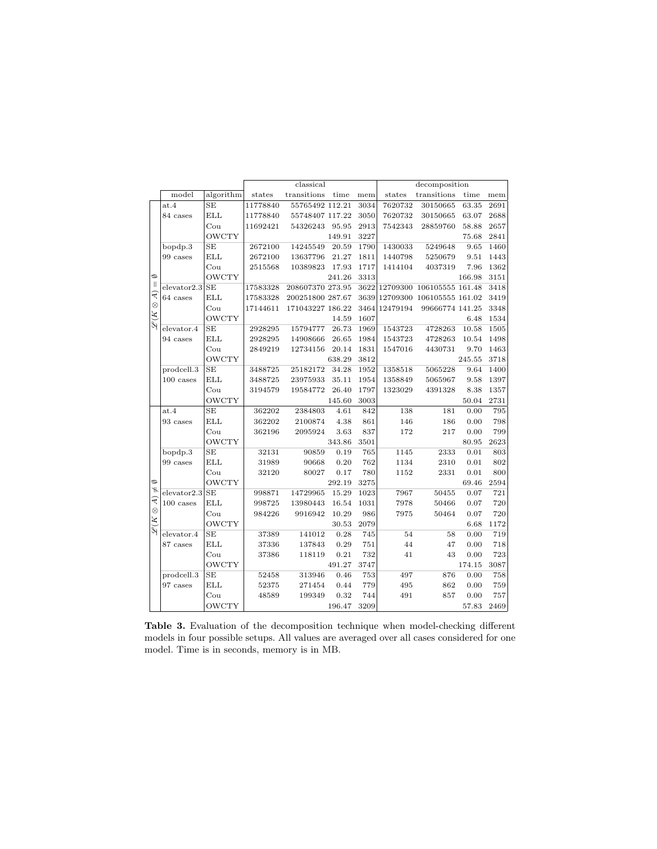|                                               | classical         |                      |          | decomposition    |        |      |          |                                |          |      |
|-----------------------------------------------|-------------------|----------------------|----------|------------------|--------|------|----------|--------------------------------|----------|------|
|                                               | model             | algorithm            | states   | transitions      | time   | mem  | states   | transitions                    | time     | mem  |
|                                               | at.4              | SE                   | 11778840 | 55765492 112.21  |        | 3034 | 7620732  | 30150665                       | 63.35    | 2691 |
|                                               | 84 cases          | $_{\rm ELL}$         | 11778840 | 55748407 117.22  |        | 3050 | 7620732  | 30150665                       | 63.07    | 2688 |
|                                               |                   | Cou                  | 11692421 | 54326243         | 95.95  | 2913 | 7542343  | 28859760                       | 58.88    | 2657 |
|                                               |                   | <b>OWCTY</b>         |          |                  | 149.91 | 3227 |          |                                | 75.68    | 2841 |
|                                               | bopdp.3           | SE                   | 2672100  | 14245549         | 20.59  | 1790 | 1430033  | 5249648                        | 9.65     | 1460 |
|                                               | 99 cases          | $\operatorname{ELL}$ | 2672100  | 13637796         | 21.27  | 1811 | 1440798  | 5250679                        | 9.51     | 1443 |
|                                               |                   | Cou                  | 2515568  | 10389823         | 17.93  | 1717 | 1414104  | 4037319                        | 7.96     | 1362 |
| $\circ$                                       |                   | <b>OWCTY</b>         |          |                  | 241.26 | 3313 |          |                                | 166.98   | 3151 |
| $\vert\vert$                                  | $e$ levator $2.3$ | $\rm SE$             | 17583328 | 208607370 273.95 |        |      |          | 3622 12709300 106105555 161.48 |          | 3418 |
| $\otimes$ A)                                  | 64 cases          | ELL                  | 17583328 | 200251800 287.67 |        | 3639 |          | 12709300 106105555 161.02      |          | 3419 |
|                                               |                   | Cou                  | 17144611 | 171043227 186.22 |        | 3464 | 12479194 | 99666774 141.25                |          | 3348 |
| $\overline{\mathscr{L}}(K)$                   |                   | OWCTY                |          |                  | 14.59  | 1607 |          |                                | 6.48     | 1534 |
|                                               | $e$ levator. $4$  | $\rm SE$             | 2928295  | 15794777         | 26.73  | 1969 | 1543723  | 4728263                        | 10.58    | 1505 |
|                                               | 94 cases          | $\operatorname{ELL}$ | 2928295  | 14908666         | 26.65  | 1984 | 1543723  | 4728263                        | 10.54    | 1498 |
|                                               |                   | $_{\rm{Cou}}$        | 2849219  | 12734156         | 20.14  | 1831 | 1547016  | 4430731                        | 9.70     | 1463 |
|                                               |                   | <b>OWCTY</b>         |          |                  | 638.29 | 3812 |          |                                | 245.55   | 3718 |
|                                               | prodcell.3        | SE                   | 3488725  | 25182172         | 34.28  | 1952 | 1358518  | 5065228                        | 9.64     | 1400 |
|                                               | $100$ cases       | $\operatorname{ELL}$ | 3488725  | 23975933         | 35.11  | 1954 | 1358849  | 5065967                        | 9.58     | 1397 |
|                                               |                   | Cou                  | 3194579  | 19584772         | 26.40  | 1797 | 1323029  | 4391328                        | 8.38     | 1357 |
|                                               |                   | <b>OWCTY</b>         |          |                  | 145.60 | 3003 |          |                                | 50.04    | 2731 |
|                                               | at.4              | SE                   | 362202   | 2384803          | 4.61   | 842  | 138      | 181                            | 0.00     | 795  |
|                                               | 93 cases          | <b>ELL</b>           | 362202   | 2100874          | 4.38   | 861  | 146      | 186                            | 0.00     | 798  |
|                                               |                   | $_{\rm{Cou}}$        | 362196   | 2095924          | 3.63   | 837  | 172      | 217                            | 0.00     | 799  |
|                                               |                   | <b>OWCTY</b>         |          |                  | 343.86 | 3501 |          |                                | 80.95    | 2623 |
|                                               | bopdp.3           | $\rm SE$             | 32131    | 90859            | 0.19   | 765  | 1145     | 2333                           | 0.01     | 803  |
|                                               | 99 cases          | ELL                  | 31989    | 90668            | 0.20   | 762  | 1134     | 2310                           | 0.01     | 802  |
|                                               |                   | Cou                  | 32120    | 80027            | 0.17   | 780  | 1152     | 2331                           | 0.01     | 800  |
| $\circ$                                       |                   | <b>OWCTY</b>         |          |                  | 292.19 | 3275 |          |                                | 69.46    | 2594 |
| $\ast$                                        | $e$ levator $2.3$ | SE                   | 998871   | 14729965         | 15.29  | 1023 | 7967     | 50455                          | 0.07     | 721  |
| $(\forall \ \varnothing)$<br>$\mathcal{L}(K)$ | $100$ cases       | $_{\rm ELL}$         | 998725   | 13980443         | 16.54  | 1031 | 7978     | 50466                          | 0.07     | 720  |
|                                               |                   | $_{\rm{Cou}}$        | 984226   | 9916942          | 10.29  | 986  | 7975     | 50464                          | 0.07     | 720  |
|                                               |                   | <b>OWCTY</b>         |          |                  | 30.53  | 2079 |          |                                | 6.68     | 1172 |
|                                               | elevator.4        | SE                   | 37389    | 141012           | 0.28   | 745  | 54       | 58                             | 0.00     | 719  |
|                                               | 87 cases          | ELL                  | 37336    | 137843           | 0.29   | 751  | 44       | 47                             | $0.00\,$ | 718  |
|                                               |                   | $_{\rm{Cou}}$        | 37386    | 118119           | 0.21   | 732  | 41       | 43                             | 0.00     | 723  |
|                                               |                   | <b>OWCTY</b>         |          |                  | 491.27 | 3747 |          |                                | 174.15   | 3087 |
|                                               | prodcell.3        | $\rm SE$             | 52458    | 313946           | 0.46   | 753  | 497      | 876                            | 0.00     | 758  |
|                                               | 97 cases          | <b>ELL</b>           | 52375    | 271454           | 0.44   | 779  | 495      | 862                            | 0.00     | 759  |
|                                               |                   | $_{\rm{Cou}}$        | 48589    | 199349           | 0.32   | 744  | 491      | 857                            | 0.00     | 757  |
|                                               |                   | <b>OWCTY</b>         |          |                  | 196.47 | 3209 |          |                                | 57.83    | 2469 |

Table 3. Evaluation of the decomposition technique when model-checking different models in four possible setups. All values are averaged over all cases considered for one model. Time is in seconds, memory is in MB.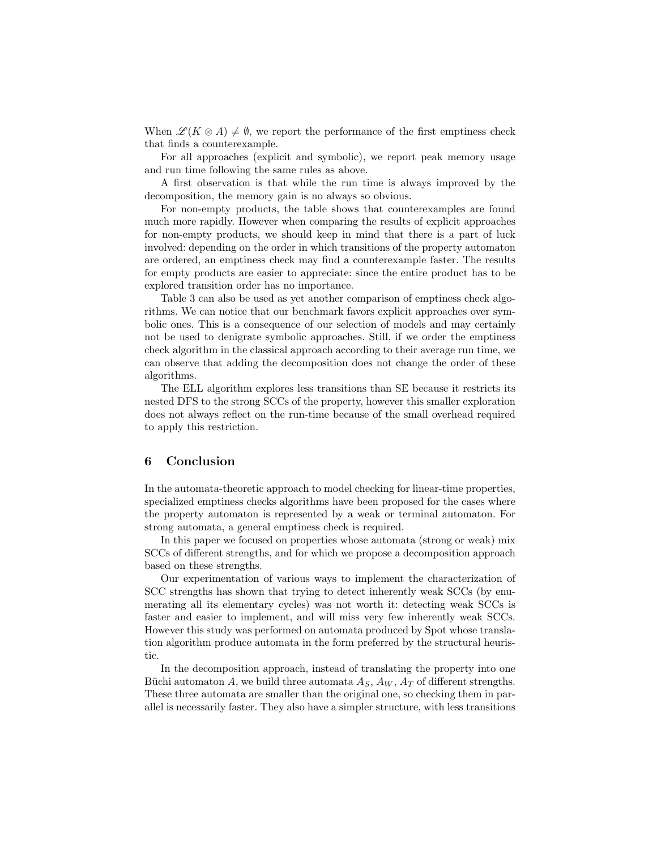When  $\mathscr{L}(K \otimes A) \neq \emptyset$ , we report the performance of the first emptiness check that finds a counterexample.

For all approaches (explicit and symbolic), we report peak memory usage and run time following the same rules as above.

A first observation is that while the run time is always improved by the decomposition, the memory gain is no always so obvious.

For non-empty products, the table shows that counterexamples are found much more rapidly. However when comparing the results of explicit approaches for non-empty products, we should keep in mind that there is a part of luck involved: depending on the order in which transitions of the property automaton are ordered, an emptiness check may find a counterexample faster. The results for empty products are easier to appreciate: since the entire product has to be explored transition order has no importance.

Table 3 can also be used as yet another comparison of emptiness check algorithms. We can notice that our benchmark favors explicit approaches over symbolic ones. This is a consequence of our selection of models and may certainly not be used to denigrate symbolic approaches. Still, if we order the emptiness check algorithm in the classical approach according to their average run time, we can observe that adding the decomposition does not change the order of these algorithms.

The ELL algorithm explores less transitions than SE because it restricts its nested DFS to the strong SCCs of the property, however this smaller exploration does not always reflect on the run-time because of the small overhead required to apply this restriction.

#### 6 Conclusion

In the automata-theoretic approach to model checking for linear-time properties, specialized emptiness checks algorithms have been proposed for the cases where the property automaton is represented by a weak or terminal automaton. For strong automata, a general emptiness check is required.

In this paper we focused on properties whose automata (strong or weak) mix SCCs of different strengths, and for which we propose a decomposition approach based on these strengths.

Our experimentation of various ways to implement the characterization of SCC strengths has shown that trying to detect inherently weak SCCs (by enumerating all its elementary cycles) was not worth it: detecting weak SCCs is faster and easier to implement, and will miss very few inherently weak SCCs. However this study was performed on automata produced by Spot whose translation algorithm produce automata in the form preferred by the structural heuristic.

In the decomposition approach, instead of translating the property into one Büchi automaton A, we build three automata  $A_S$ ,  $A_W$ ,  $A_T$  of different strengths. These three automata are smaller than the original one, so checking them in parallel is necessarily faster. They also have a simpler structure, with less transitions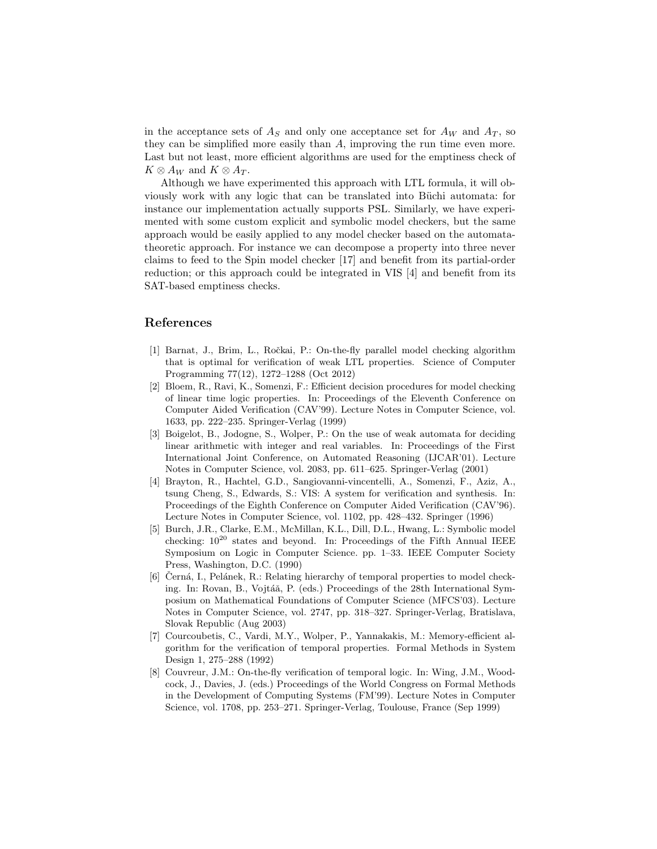in the acceptance sets of  $A<sub>S</sub>$  and only one acceptance set for  $A<sub>W</sub>$  and  $A<sub>T</sub>$ , so they can be simplified more easily than A, improving the run time even more. Last but not least, more efficient algorithms are used for the emptiness check of  $K \otimes A_W$  and  $K \otimes A_T$ .

Although we have experimented this approach with LTL formula, it will obviously work with any logic that can be translated into Büchi automata: for instance our implementation actually supports PSL. Similarly, we have experimented with some custom explicit and symbolic model checkers, but the same approach would be easily applied to any model checker based on the automatatheoretic approach. For instance we can decompose a property into three never claims to feed to the Spin model checker [17] and benefit from its partial-order reduction; or this approach could be integrated in VIS [4] and benefit from its SAT-based emptiness checks.

### References

- [1] Barnat, J., Brim, L., Roˇckai, P.: On-the-fly parallel model checking algorithm that is optimal for verification of weak LTL properties. Science of Computer Programming 77(12), 1272–1288 (Oct 2012)
- [2] Bloem, R., Ravi, K., Somenzi, F.: Efficient decision procedures for model checking of linear time logic properties. In: Proceedings of the Eleventh Conference on Computer Aided Verification (CAV'99). Lecture Notes in Computer Science, vol. 1633, pp. 222–235. Springer-Verlag (1999)
- [3] Boigelot, B., Jodogne, S., Wolper, P.: On the use of weak automata for deciding linear arithmetic with integer and real variables. In: Proceedings of the First International Joint Conference, on Automated Reasoning (IJCAR'01). Lecture Notes in Computer Science, vol. 2083, pp. 611–625. Springer-Verlag (2001)
- [4] Brayton, R., Hachtel, G.D., Sangiovanni-vincentelli, A., Somenzi, F., Aziz, A., tsung Cheng, S., Edwards, S.: VIS: A system for verification and synthesis. In: Proceedings of the Eighth Conference on Computer Aided Verification (CAV'96). Lecture Notes in Computer Science, vol. 1102, pp. 428–432. Springer (1996)
- [5] Burch, J.R., Clarke, E.M., McMillan, K.L., Dill, D.L., Hwang, L.: Symbolic model checking:  $10^{20}$  states and beyond. In: Proceedings of the Fifth Annual IEEE Symposium on Logic in Computer Science. pp. 1–33. IEEE Computer Society Press, Washington, D.C. (1990)
- [6] Černá, I., Pelánek, R.: Relating hierarchy of temporal properties to model checking. In: Rovan, B., Vojtáă, P. (eds.) Proceedings of the 28th International Symposium on Mathematical Foundations of Computer Science (MFCS'03). Lecture Notes in Computer Science, vol. 2747, pp. 318–327. Springer-Verlag, Bratislava, Slovak Republic (Aug 2003)
- [7] Courcoubetis, C., Vardi, M.Y., Wolper, P., Yannakakis, M.: Memory-efficient algorithm for the verification of temporal properties. Formal Methods in System Design 1, 275–288 (1992)
- [8] Couvreur, J.M.: On-the-fly verification of temporal logic. In: Wing, J.M., Woodcock, J., Davies, J. (eds.) Proceedings of the World Congress on Formal Methods in the Development of Computing Systems (FM'99). Lecture Notes in Computer Science, vol. 1708, pp. 253–271. Springer-Verlag, Toulouse, France (Sep 1999)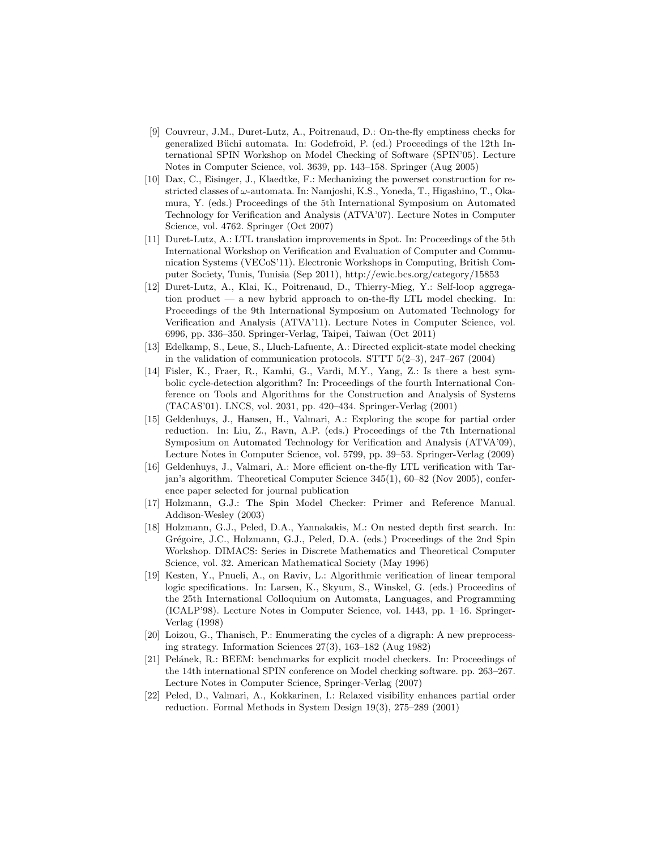- [9] Couvreur, J.M., Duret-Lutz, A., Poitrenaud, D.: On-the-fly emptiness checks for generalized Büchi automata. In: Godefroid, P. (ed.) Proceedings of the 12th International SPIN Workshop on Model Checking of Software (SPIN'05). Lecture Notes in Computer Science, vol. 3639, pp. 143–158. Springer (Aug 2005)
- [10] Dax, C., Eisinger, J., Klaedtke, F.: Mechanizing the powerset construction for restricted classes of  $\omega$ -automata. In: Namjoshi, K.S., Yoneda, T., Higashino, T., Okamura, Y. (eds.) Proceedings of the 5th International Symposium on Automated Technology for Verification and Analysis (ATVA'07). Lecture Notes in Computer Science, vol. 4762. Springer (Oct 2007)
- [11] Duret-Lutz, A.: LTL translation improvements in Spot. In: Proceedings of the 5th International Workshop on Verification and Evaluation of Computer and Communication Systems (VECoS'11). Electronic Workshops in Computing, British Computer Society, Tunis, Tunisia (Sep 2011), http://ewic.bcs.org/category/15853
- [12] Duret-Lutz, A., Klai, K., Poitrenaud, D., Thierry-Mieg, Y.: Self-loop aggregation product — a new hybrid approach to on-the-fly LTL model checking. In: Proceedings of the 9th International Symposium on Automated Technology for Verification and Analysis (ATVA'11). Lecture Notes in Computer Science, vol. 6996, pp. 336–350. Springer-Verlag, Taipei, Taiwan (Oct 2011)
- [13] Edelkamp, S., Leue, S., Lluch-Lafuente, A.: Directed explicit-state model checking in the validation of communication protocols. STTT 5(2–3), 247–267 (2004)
- [14] Fisler, K., Fraer, R., Kamhi, G., Vardi, M.Y., Yang, Z.: Is there a best symbolic cycle-detection algorithm? In: Proceedings of the fourth International Conference on Tools and Algorithms for the Construction and Analysis of Systems (TACAS'01). LNCS, vol. 2031, pp. 420–434. Springer-Verlag (2001)
- [15] Geldenhuys, J., Hansen, H., Valmari, A.: Exploring the scope for partial order reduction. In: Liu, Z., Ravn, A.P. (eds.) Proceedings of the 7th International Symposium on Automated Technology for Verification and Analysis (ATVA'09), Lecture Notes in Computer Science, vol. 5799, pp. 39–53. Springer-Verlag (2009)
- [16] Geldenhuys, J., Valmari, A.: More efficient on-the-fly LTL verification with Tarjan's algorithm. Theoretical Computer Science 345(1), 60–82 (Nov 2005), conference paper selected for journal publication
- [17] Holzmann, G.J.: The Spin Model Checker: Primer and Reference Manual. Addison-Wesley (2003)
- [18] Holzmann, G.J., Peled, D.A., Yannakakis, M.: On nested depth first search. In: Grégoire, J.C., Holzmann, G.J., Peled, D.A. (eds.) Proceedings of the 2nd Spin Workshop. DIMACS: Series in Discrete Mathematics and Theoretical Computer Science, vol. 32. American Mathematical Society (May 1996)
- [19] Kesten, Y., Pnueli, A., on Raviv, L.: Algorithmic verification of linear temporal logic specifications. In: Larsen, K., Skyum, S., Winskel, G. (eds.) Proceedins of the 25th International Colloquium on Automata, Languages, and Programming (ICALP'98). Lecture Notes in Computer Science, vol. 1443, pp. 1–16. Springer-Verlag (1998)
- [20] Loizou, G., Thanisch, P.: Enumerating the cycles of a digraph: A new preprocessing strategy. Information Sciences 27(3), 163–182 (Aug 1982)
- [21] Pelánek, R.: BEEM: benchmarks for explicit model checkers. In: Proceedings of the 14th international SPIN conference on Model checking software. pp. 263–267. Lecture Notes in Computer Science, Springer-Verlag (2007)
- [22] Peled, D., Valmari, A., Kokkarinen, I.: Relaxed visibility enhances partial order reduction. Formal Methods in System Design 19(3), 275–289 (2001)